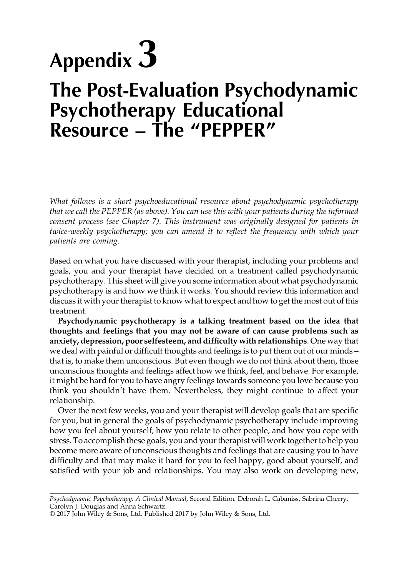## Appendix 3 **The Post-Evaluation Psychodynamic Psychotherapy Educational Resource – The "PEPPER"**

*What follows is a short psychoeducational resource about psychodynamic psychotherapy that we call the PEPPER (as above). You can use this with your patients during the informed consent process (see Chapter 7). This instrument was originally designed for patients in twice-weekly psychotherapy; you can amend it to reflect the frequency with which your patients are coming.*

Based on what you have discussed with your therapist, including your problems and goals, you and your therapist have decided on a treatment called psychodynamic psychotherapy. This sheet will give you some information about what psychodynamic psychotherapy is and how we think it works. You should review this information and discuss it with your therapist to know what to expect and how to get the most out of this treatment.

**Psychodynamic psychotherapy is a talking treatment based on the idea that thoughts and feelings that you may not be aware of can cause problems such as anxiety, depression, poor selfesteem, and difficulty with relationships**. One way that we deal with painful or difficult thoughts and feelings is to put them out of our minds – that is, to make them unconscious. But even though we do not think about them, those unconscious thoughts and feelings affect how we think, feel, and behave. For example, it might be hard for you to have angry feelings towards someone you love because you think you shouldn't have them. Nevertheless, they might continue to affect your relationship.

Over the next few weeks, you and your therapist will develop goals that are specific for you, but in general the goals of psychodynamic psychotherapy include improving how you feel about yourself, how you relate to other people, and how you cope with stress. To accomplish these goals, you and your therapist will work together to help you become more aware of unconscious thoughts and feelings that are causing you to have difficulty and that may make it hard for you to feel happy, good about yourself, and satisfied with your job and relationships. You may also work on developing new,

*Psychodynamic Psychotherapy: A Clinical Manual*, Second Edition. Deborah L. Cabaniss, Sabrina Cherry, Carolyn J. Douglas and Anna Schwartz.

<sup>© 2017</sup> John Wiley & Sons, Ltd. Published 2017 by John Wiley & Sons, Ltd.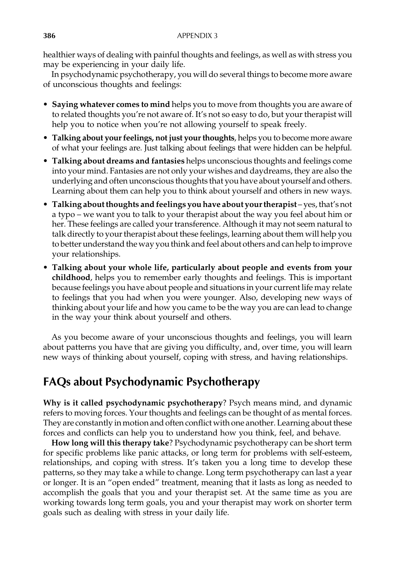healthier ways of dealing with painful thoughts and feelings, as well as with stress you may be experiencing in your daily life.

In psychodynamic psychotherapy, you will do several things to become more aware of unconscious thoughts and feelings:

- **Saying whatever comes to mind** helps you to move from thoughts you are aware of to related thoughts you're not aware of. It's not so easy to do, but your therapist will help you to notice when you're not allowing yourself to speak freely.
- **Talking about yourfeelings, not just yourthoughts**, helps you to become more aware of what your feelings are. Just talking about feelings that were hidden can be helpful.
- **Talking about dreams and fantasies** helps unconscious thoughts and feelings come into your mind. Fantasies are not only your wishes and daydreams, they are also the underlying and often unconscious thoughts that you have about yourself and others. Learning about them can help you to think about yourself and others in new ways.
- **Talking about thoughts and feelings you have about yourtherapist** yes,that's not a typo – we want you to talk to your therapist about the way you feel about him or her. These feelings are called your transference. Although it may not seem natural to talk directly to your therapist about these feelings, learning about them will help you to better understand the way you think and feel about others and can help to improve your relationships.
- **Talking about your whole life, particularly about people and events from your childhood**, helps you to remember early thoughts and feelings. This is important because feelings you have about people and situations in your current life may relate to feelings that you had when you were younger. Also, developing new ways of thinking about your life and how you came to be the way you are can lead to change in the way your think about yourself and others.

As you become aware of your unconscious thoughts and feelings, you will learn about patterns you have that are giving you difficulty, and, over time, you will learn new ways of thinking about yourself, coping with stress, and having relationships.

## **FAQs about Psychodynamic Psychotherapy**

**Why is it called psychodynamic psychotherapy**? Psych means mind, and dynamic refers to moving forces. Your thoughts and feelings can be thought of as mental forces. They are constantly in motion and often conflict with one another. Learning about these forces and conflicts can help you to understand how you think, feel, and behave.

**How long will this therapy take**? Psychodynamic psychotherapy can be short term for specific problems like panic attacks, or long term for problems with self-esteem, relationships, and coping with stress. It's taken you a long time to develop these patterns, so they may take a while to change. Long term psychotherapy can last a year or longer. It is an "open ended" treatment, meaning that it lasts as long as needed to accomplish the goals that you and your therapist set. At the same time as you are working towards long term goals, you and your therapist may work on shorter term goals such as dealing with stress in your daily life.